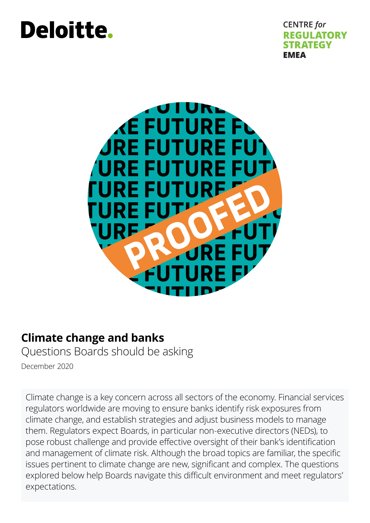# **Deloitte.**

**CENTRE** for **ATORY** STR ATEGY **EMEA** 



## **Climate change and banks**

Questions Boards should be asking

December 2020

Climate change is a key concern across all sectors of the economy. Financial services regulators worldwide are moving to ensure banks identify risk exposures from climate change, and establish strategies and adjust business models to manage them. Regulators expect Boards, in particular non-executive directors (NEDs), to pose robust challenge and provide effective oversight of their bank's identification and management of climate risk. Although the broad topics are familiar, the specific issues pertinent to climate change are new, significant and complex. The questions explored below help Boards navigate this difficult environment and meet regulators' expectations.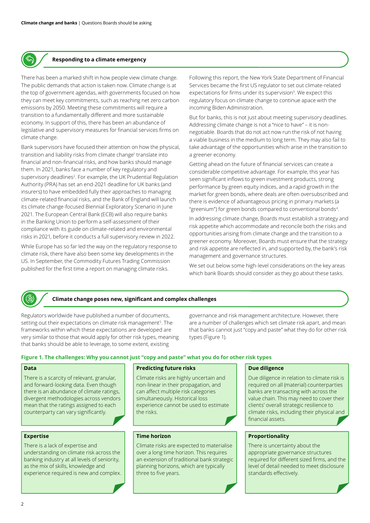

#### **Responding to a climate emergency**

There has been a marked shift in how people view climate change. The public demands that action is taken now. Climate change is at the top of government agendas, with governments focused on how they can meet key commitments, such as reaching net zero carbon emissions by 2050. Meeting these commitments will require a transition to a fundamentally different and more sustainable economy. In support of this, there has been an abundance of legislative and supervisory measures for financial services firms on climate change.

Bank supervisors have focused their attention on how the physical, transition and liability risks from climate change<sup>1</sup> translate into financial and non-financial risks, and how banks should manage them. In 2021, banks face a number of key regulatory and supervisory deadlines<sup>2</sup>. For example, the UK Prudential Regulation Authority (PRA) has set an end-2021 deadline for UK banks (and insurers) to have embedded fully their approaches to managing climate-related financial risks, and the Bank of England will launch its climate change-focused Biennial Exploratory Scenario in June 2021. The European Central Bank (ECB) will also require banks in the Banking Union to perform a self-assessment of their compliance with its guide on climate-related and environmental risks in 2021, before it conducts a full supervisory review in 2022.

While Europe has so far led the way on the regulatory response to climate risk, there have also been some key developments in the US. In September, the Commodity Futures Trading Commission published for the first time a report on managing climate risks.

Following this report, the New York State Department of Financial Services became the first US regulator to set out climate-related expectations for firms under its supervision<sup>3</sup>. We expect this regulatory focus on climate change to continue apace with the incoming Biden Administration.

But for banks, this is not just about meeting supervisory deadlines. Addressing climate change is not a "nice to have" – it is nonnegotiable. Boards that do not act now run the risk of not having a viable business in the medium to long term. They may also fail to take advantage of the opportunities which arise in the transition to a greener economy.

Getting ahead on the future of financial services can create a considerable competitive advantage. For example, this year has seen significant inflows to green investment products, strong performance by green equity indices, and a rapid growth in the market for green bonds, where deals are often oversubscribed and there is evidence of advantageous pricing in primary markets (a "greenium") for green bonds compared to conventional bonds4.

In addressing climate change, Boards must establish a strategy and risk appetite which accommodate and reconcile both the risks and opportunities arising from climate change and the transition to a greener economy. Moreover, Boards must ensure that the strategy and risk appetite are reflected in, and supported by, the bank's risk management and governance structures.

We set out below some high-level considerations on the key areas which bank Boards should consider as they go about these tasks.



#### **Climate change poses new, significant and complex challenges**

Regulators worldwide have published a number of documents, setting out their expectations on climate risk management<sup>5</sup>. The frameworks within which these expectations are developed are very similar to those that would apply for other risk types, meaning that banks should be able to leverage, to some extent, existing

governance and risk management architecture. However, there are a number of challenges which set climate risk apart, and mean that banks cannot just "copy and paste" what they do for other risk types (Figure 1).

#### **Figure 1. The challenges: Why you cannot just "copy and paste" what you do for other risk types**

#### **Data**

There is a scarcity of relevant, granular, and forward-looking data. Even though there is an abundance of climate ratings, divergent methodologies across vendors mean that the ratings assigned to each counterparty can vary significantly.

#### **Expertise**

There is a lack of expertise and understanding on climate risk across the banking industry at all levels of seniority, as the mix of skills, knowledge and experience required is new and complex.

#### **Predicting future risks**

Climate risks are highly uncertain and non-linear in their propagation, and can affect multiple risk categories simultaneously. Historical loss experience cannot be used to estimate the risks.

#### **Time horizon**

Climate risks are expected to materialise over a long time horizon. This requires an extension of traditional bank strategic planning horizons, which are typically three to five years.

#### **Due diligence**

Due diligence in relation to climate risk is required on all (material) counterparties banks are transacting with across the value chain. This may need to cover their clients' overall strategic resilience to climate risks, including their physical and financial assets.

#### **Proportionality**

There is uncertainty about the appropriate governance structures required for different sized firms, and the level of detail needed to meet disclosure standards effectively.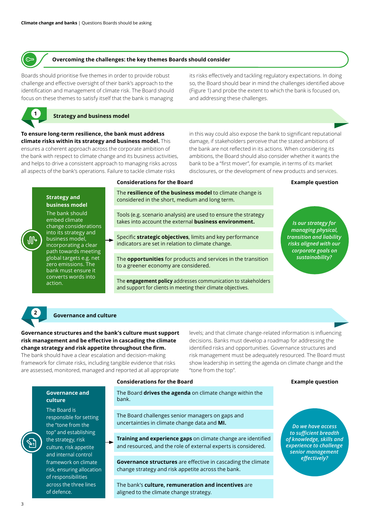#### **Overcoming the challenges: the key themes Boards should consider**

Boards should prioritise five themes in order to provide robust challenge and effective oversight of their bank's approach to the identification and management of climate risk. The Board should focus on these themes to satisfy itself that the bank is managing

its risks effectively and tackling regulatory expectations. In doing so, the Board should bear in mind the challenges identified above (Figure 1) and probe the extent to which the bank is focused on, and addressing these challenges.



 $\widetilde{\infty}$ 

#### **<sup>1</sup> Strategy and business model**

**To ensure long-term resilience, the bank must address climate risks within its strategy and business model.** This ensures a coherent approach across the corporate ambition of the bank with respect to climate change and its business activities, and helps to drive a consistent approach to managing risks across all aspects of the bank's operations. Failure to tackle climate risks

in this way could also expose the bank to significant reputational damage, if stakeholders perceive that the stated ambitions of the bank are not reflected in its actions. When considering its ambitions, the Board should also consider whether it wants the bank to be a "first mover", for example, in terms of its market disclosures, or the development of new products and services.

#### **Considerations for the Board Example question**

#### **Strategy and business model**

The bank should embed climate change considerations into its strategy and business model, incorporating a clear path towards meeting global targets e.g. net zero emissions. The bank must ensure it converts words into action.

The **resilience of the business model** to climate change is considered in the short, medium and long term.

Tools (e.g. scenario analysis) are used to ensure the strategy takes into account the external **business environment.**

Specific **strategic objectives**, limits and key performance indicators are set in relation to climate change.

The **opportunities** for products and services in the transition to a greener economy are considered.

The **engagement policy** addresses communication to stakeholders and support for clients in meeting their climate objectives.

#### *Is our strategy for managing physical, transition and liability risks aligned with our corporate goals on sustainability?*

#### **<sup>2</sup> Governance and culture**

#### **Governance structures and the bank's culture must support risk management and be effective in cascading the climate change strategy and risk appetite throughout the firm.**  The bank should have a clear escalation and decision-making

framework for climate risks, including tangible evidence that risks are assessed, monitored, managed and reported at all appropriate levels; and that climate change-related information is influencing decisions. Banks must develop a roadmap for addressing the identified risks and opportunities. Governance structures and risk management must be adequately resourced. The Board must show leadership in setting the agenda on climate change and the "tone from the top".

#### **Governance and culture**

The Board is responsible for setting the "tone from the top" and establishing the strategy, risk culture, risk appetite and internal control framework on climate risk, ensuring allocation of responsibilities across the three lines of defence.

#### **Considerations for the Board Example question**

The Board **drives the agenda** on climate change within the bank.

The Board challenges senior managers on gaps and uncertainties in climate change data and **MI.**

**Training and experience gaps** on climate change are identified and resourced, and the role of external experts is considered.

**Governance structures** are effective in cascading the climate change strategy and risk appetite across the bank.

The bank's **culture, remuneration and incentives** are aligned to the climate change strategy.

*Do we have access to sufficient breadth of knowledge, skills and experience to challenge senior management effectively?*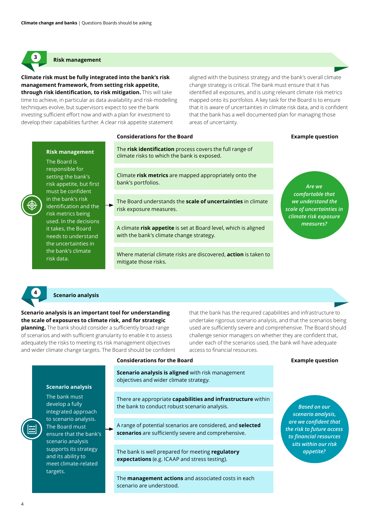

## **<sup>3</sup> Risk management**

**Risk management**

The Board is responsible for setting the bank's risk appetite, but first must be confident in the bank's risk identification and the risk metrics being used. In the decisions it takes, the Board needs to understand the uncertainties in the bank's climate

risk data.

**Climate risk must be fully integrated into the bank's risk management framework, from setting risk appetite, through risk identification, to risk mitigation.** This will take time to achieve, in particular as data availability and risk-modelling techniques evolve, but supervisors expect to see the bank investing sufficient effort now and with a plan for investment to develop their capabilities further. A clear risk appetite statement

aligned with the business strategy and the bank's overall climate change strategy is critical. The bank must ensure that it has identified all exposures, and is using relevant climate risk metrics mapped onto its portfolios. A key task for the Board is to ensure that it is aware of uncertainties in climate risk data, and is confident that the bank has a well documented plan for managing those areas of uncertainty.

#### **Considerations for the Board Example question**

The **risk identification** process covers the full range of climate risks to which the bank is exposed.

> Climate **risk metrics** are mapped appropriately onto the bank's portfolios.

The Board understands the **scale of uncertainties** in climate risk exposure measures.

A climate **risk appetite** is set at Board level, which is aligned with the bank's climate change strategy.

Where material climate risks are discovered, **action** is taken to mitigate those risks.

*Are we comfortable that we understand the scale of uncertainties in climate risk exposure measures?*

#### **<sup>4</sup> Scenario analysis**

**Scenario analysis is an important tool for understanding the scale of exposures to climate risk, and for strategic planning.** The bank should consider a sufficiently broad range of scenarios and with sufficient granularity to enable it to assess adequately the risks to meeting its risk management objectives and wider climate change targets. The Board should be confident that the bank has the required capabilities and infrastructure to undertake rigorous scenario analysis, and that the scenarios being used are sufficiently severe and comprehensive. The Board should challenge senior managers on whether they are confident that, under each of the scenarios used, the bank will have adequate access to financial resources.

#### **Scenario analysis**

The bank must develop a fully integrated approach to scenario analysis. The Board must ensure that the bank's scenario analysis supports its strategy and its ability to meet climate-related targets.

**Considerations for the Board Example question**

**Scenario analysis is aligned** with risk management objectives and wider climate strategy.

There are appropriate **capabilities and infrastructure** within the bank to conduct robust scenario analysis.

A range of potential scenarios are considered, and **selected scenarios** are sufficiently severe and comprehensive.

The bank is well prepared for meeting **regulatory expectations** (e.g. ICAAP and stress testing).

The **management actions** and associated costs in each scenario are understood.

*Based on our scenario analysis, are we confident that the risk to future access to financial resources sits within our risk appetite?*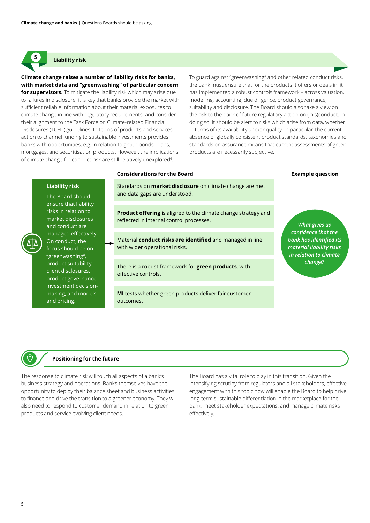

### **<sup>5</sup> Liability risk**

**Climate change raises a number of liability risks for banks, with market data and "greenwashing" of particular concern for supervisors.** To mitigate the liability risk which may arise due to failures in disclosure, it is key that banks provide the market with sufficient reliable information about their material exposures to climate change in line with regulatory requirements, and consider their alignment to the Task Force on Climate-related Financial Disclosures (TCFD) guidelines. In terms of products and services, action to channel funding to sustainable investments provides banks with opportunities, e.g. in relation to green bonds, loans, mortgages, and securitisation products. However, the implications of climate change for conduct risk are still relatively unexplored<sup>6</sup>.

To guard against "greenwashing" and other related conduct risks, the bank must ensure that for the products it offers or deals in, it has implemented a robust controls framework – across valuation, modelling, accounting, due diligence, product governance, suitability and disclosure. The Board should also take a view on the risk to the bank of future regulatory action on (mis)conduct. In doing so, it should be alert to risks which arise from data, whether in terms of its availability and/or quality. In particular, the current absence of globally consistent product standards, taxonomies and standards on assurance means that current assessments of green products are necessarily subjective.

#### **Considerations for the Board Example question**

#### **Liability risk**

The Board should ensure that liability risks in relation to market disclosures and conduct are managed effectively. On conduct, the focus should be on "greenwashing", product suitability, client disclosures, product governance, investment decisionmaking, and models and pricing.

Standards on **market disclosure** on climate change are met and data gaps are understood.

**Product offering** is aligned to the climate change strategy and reflected in internal control processes.

Material **conduct risks are identified** and managed in line with wider operational risks.

There is a robust framework for **green products**, with effective controls.

**MI** tests whether green products deliver fair customer outcomes.

*What gives us confidence that the bank has identified its material liability risks in relation to climate change?*

#### **Positioning for the future**

The response to climate risk will touch all aspects of a bank's business strategy and operations. Banks themselves have the opportunity to deploy their balance sheet and business activities to finance and drive the transition to a greener economy. They will also need to respond to customer demand in relation to green products and service evolving client needs.

The Board has a vital role to play in this transition. Given the intensifying scrutiny from regulators and all stakeholders, effective engagement with this topic now will enable the Board to help drive long-term sustainable differentiation in the marketplace for the bank, meet stakeholder expectations, and manage climate risks effectively.